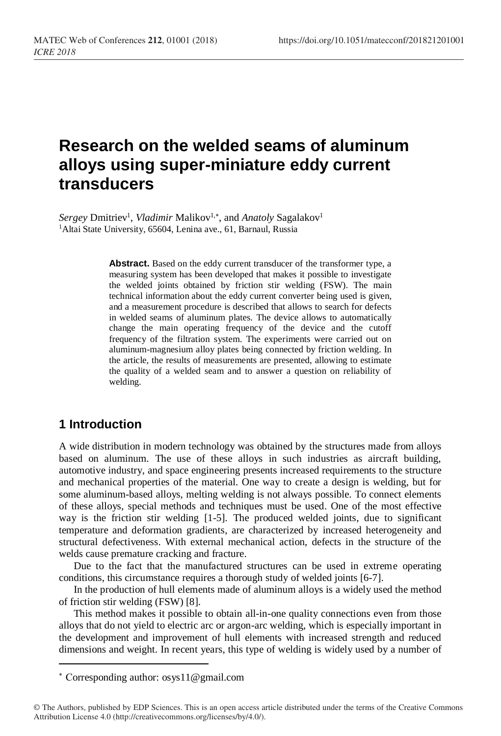# **Research on the welded seams of aluminum alloys using super-miniature eddy current transducers**

Sergey Dmitriev<sup>1</sup>, *Vladimir* Malikov<sup>1,\*</sup>, and *Anatoly* Sagalakov<sup>1</sup> <sup>1</sup>Altai State University, 65604, Lenina ave., 61, Barnaul, Russia

> **Abstract.** Based on the eddy current transducer of the transformer type, a measuring system has been developed that makes it possible to investigate the welded joints obtained by friction stir welding (FSW). The main technical information about the eddy current converter being used is given, and a measurement procedure is described that allows to search for defects in welded seams of aluminum plates. The device allows to automatically change the main operating frequency of the device and the cutoff frequency of the filtration system. The experiments were carried out on aluminum-magnesium alloy plates being connected by friction welding. In the article, the results of measurements are presented, allowing to estimate the quality of a welded seam and to answer a question on reliability of welding.

### **1 Introduction**

 $\overline{a}$ 

A wide distribution in modern technology was obtained by the structures made from alloys based on aluminum. The use of these alloys in such industries as aircraft building, automotive industry, and space engineering presents increased requirements to the structure and mechanical properties of the material. One way to create a design is welding, but for some aluminum-based alloys, melting welding is not always possible. To connect elements of these alloys, special methods and techniques must be used. One of the most effective way is the friction stir welding [1-5]. The produced welded joints, due to significant temperature and deformation gradients, are characterized by increased heterogeneity and structural defectiveness. With external mechanical action, defects in the structure of the welds cause premature cracking and fracture.

Due to the fact that the manufactured structures can be used in extreme operating conditions, this circumstance requires a thorough study of welded joints [6-7].

In the production of hull elements made of aluminum alloys is a widely used the method of friction stir welding (FSW) [8].

This method makes it possible to obtain all-in-one quality connections even from those alloys that do not yield to electric arc or argon-arc welding, which is especially important in the development and improvement of hull elements with increased strength and reduced dimensions and weight. In recent years, this type of welding is widely used by a number of

Сorresponding author: osys11@gmail.com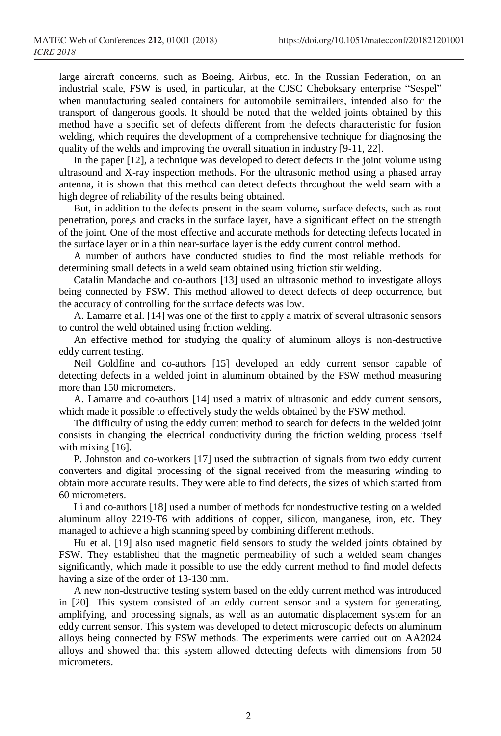large aircraft concerns, such as Boeing, Airbus, etc. In the Russian Federation, on an industrial scale, FSW is used, in particular, at the CJSC Cheboksary enterprise "Sespel" when manufacturing sealed containers for automobile semitrailers, intended also for the transport of dangerous goods. It should be noted that the welded joints obtained by this method have a specific set of defects different from the defects characteristic for fusion welding, which requires the development of a comprehensive technique for diagnosing the quality of the welds and improving the overall situation in industry [9-11, 22].

In the paper [12], a technique was developed to detect defects in the joint volume using ultrasound and X-ray inspection methods. For the ultrasonic method using a phased array antenna, it is shown that this method can detect defects throughout the weld seam with a high degree of reliability of the results being obtained.

But, in addition to the defects present in the seam volume, surface defects, such as root penetration, pore,s and cracks in the surface layer, have a significant effect on the strength of the joint. One of the most effective and accurate methods for detecting defects located in the surface layer or in a thin near-surface layer is the eddy current control method.

A number of authors have conducted studies to find the most reliable methods for determining small defects in a weld seam obtained using friction stir welding.

Catalin Mandache and co-authors [13] used an ultrasonic method to investigate alloys being connected by FSW. This method allowed to detect defects of deep occurrence, but the accuracy of controlling for the surface defects was low.

A. Lamarre et al. [14] was one of the first to apply a matrix of several ultrasonic sensors to control the weld obtained using friction welding.

An effective method for studying the quality of aluminum alloys is non-destructive eddy current testing.

Neil Goldfine and co-authors [15] developed an eddy current sensor capable of detecting defects in a welded joint in aluminum obtained by the FSW method measuring more than 150 micrometers.

A. Lamarre and co-authors [14] used a matrix of ultrasonic and eddy current sensors, which made it possible to effectively study the welds obtained by the FSW method.

The difficulty of using the eddy current method to search for defects in the welded joint consists in changing the electrical conductivity during the friction welding process itself with mixing [16].

P. Johnston and co-workers [17] used the subtraction of signals from two eddy current converters and digital processing of the signal received from the measuring winding to obtain more accurate results. They were able to find defects, the sizes of which started from 60 micrometers.

Li and co-authors [18] used a number of methods for nondestructive testing on a welded aluminum alloy 2219-T6 with additions of copper, silicon, manganese, iron, etc. They managed to achieve a high scanning speed by combining different methods.

Hu et al. [19] also used magnetic field sensors to study the welded joints obtained by FSW. They established that the magnetic permeability of such a welded seam changes significantly, which made it possible to use the eddy current method to find model defects having a size of the order of 13-130 mm.

A new non-destructive testing system based on the eddy current method was introduced in [20]. This system consisted of an eddy current sensor and a system for generating, amplifying, and processing signals, as well as an automatic displacement system for an eddy current sensor. This system was developed to detect microscopic defects on aluminum alloys being connected by FSW methods. The experiments were carried out on AA2024 alloys and showed that this system allowed detecting defects with dimensions from 50 micrometers.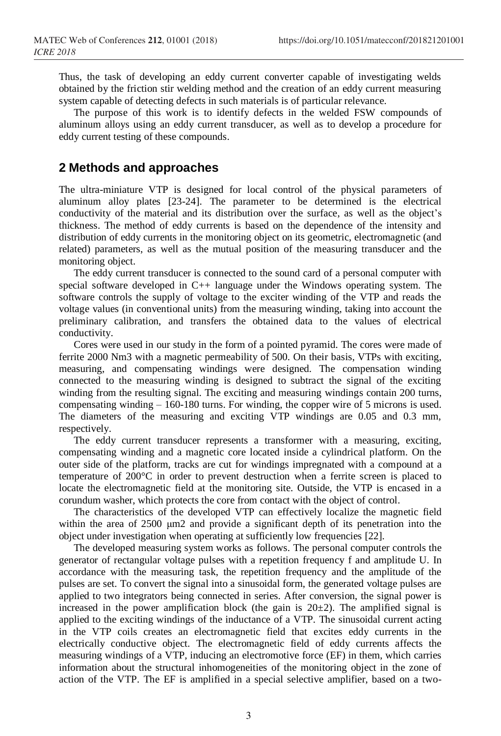Thus, the task of developing an eddy current converter capable of investigating welds obtained by the friction stir welding method and the creation of an eddy current measuring system capable of detecting defects in such materials is of particular relevance.

The purpose of this work is to identify defects in the welded FSW compounds of aluminum alloys using an eddy current transducer, as well as to develop a procedure for eddy current testing of these compounds.

#### **2 Methods and approaches**

The ultra-miniature VTP is designed for local control of the physical parameters of aluminum alloy plates [23-24]. The parameter to be determined is the electrical conductivity of the material and its distribution over the surface, as well as the object's thickness. The method of eddy currents is based on the dependence of the intensity and distribution of eddy currents in the monitoring object on its geometric, electromagnetic (and related) parameters, as well as the mutual position of the measuring transducer and the monitoring object.

The eddy current transducer is connected to the sound card of a personal computer with special software developed in C++ language under the Windows operating system. The software controls the supply of voltage to the exciter winding of the VTP and reads the voltage values (in conventional units) from the measuring winding, taking into account the preliminary calibration, and transfers the obtained data to the values of electrical conductivity.

Cores were used in our study in the form of a pointed pyramid. The cores were made of ferrite 2000 Nm3 with a magnetic permeability of 500. On their basis, VTPs with exciting, measuring, and compensating windings were designed. The compensation winding connected to the measuring winding is designed to subtract the signal of the exciting winding from the resulting signal. The exciting and measuring windings contain 200 turns, compensating winding  $-160-180$  turns. For winding, the copper wire of 5 microns is used. The diameters of the measuring and exciting VTP windings are 0.05 and 0.3 mm, respectively.

The eddy current transducer represents a transformer with a measuring, exciting, compensating winding and a magnetic core located inside a cylindrical platform. On the outer side of the platform, tracks are cut for windings impregnated with a compound at a temperature of 200°C in order to prevent destruction when a ferrite screen is placed to locate the electromagnetic field at the monitoring site. Outside, the VTP is encased in a corundum washer, which protects the core from contact with the object of control.

The characteristics of the developed VTP can effectively localize the magnetic field within the area of 2500 μm2 and provide a significant depth of its penetration into the object under investigation when operating at sufficiently low frequencies [22].

The developed measuring system works as follows. The personal computer controls the generator of rectangular voltage pulses with a repetition frequency f and amplitude U. In accordance with the measuring task, the repetition frequency and the amplitude of the pulses are set. To convert the signal into a sinusoidal form, the generated voltage pulses are applied to two integrators being connected in series. After conversion, the signal power is increased in the power amplification block (the gain is  $20±2$ ). The amplified signal is applied to the exciting windings of the inductance of a VTP. The sinusoidal current acting in the VTP coils creates an electromagnetic field that excites eddy currents in the electrically conductive object. The electromagnetic field of eddy currents affects the measuring windings of a VTP, inducing an electromotive force (EF) in them, which carries information about the structural inhomogeneities of the monitoring object in the zone of action of the VTP. The EF is amplified in a special selective amplifier, based on a two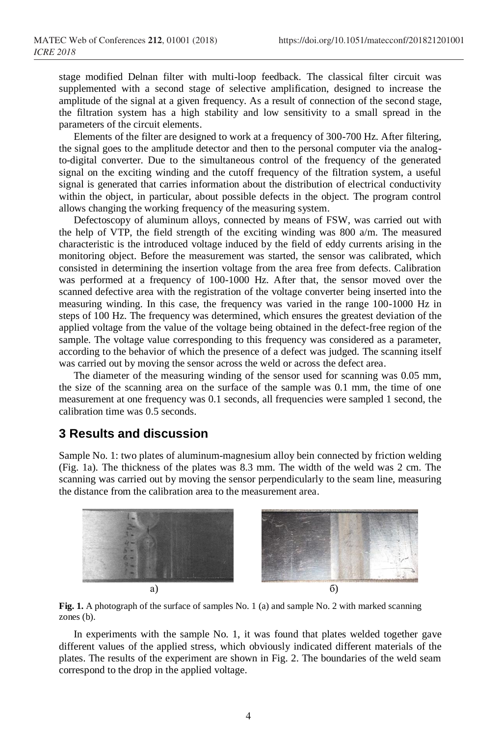stage modified Delnan filter with multi-loop feedback. The classical filter circuit was supplemented with a second stage of selective amplification, designed to increase the amplitude of the signal at a given frequency. As a result of connection of the second stage, the filtration system has a high stability and low sensitivity to a small spread in the parameters of the circuit elements.

Elements of the filter are designed to work at a frequency of 300-700 Hz. After filtering, the signal goes to the amplitude detector and then to the personal computer via the analogto-digital converter. Due to the simultaneous control of the frequency of the generated signal on the exciting winding and the cutoff frequency of the filtration system, a useful signal is generated that carries information about the distribution of electrical conductivity within the object, in particular, about possible defects in the object. The program control allows changing the working frequency of the measuring system.

Defectoscopy of aluminum alloys, connected by means of FSW, was carried out with the help of VTP, the field strength of the exciting winding was 800  $a/m$ . The measured characteristic is the introduced voltage induced by the field of eddy currents arising in the monitoring object. Before the measurement was started, the sensor was calibrated, which consisted in determining the insertion voltage from the area free from defects. Calibration was performed at a frequency of 100-1000 Hz. After that, the sensor moved over the scanned defective area with the registration of the voltage converter being inserted into the measuring winding. In this case, the frequency was varied in the range 100-1000 Hz in steps of 100 Hz. The frequency was determined, which ensures the greatest deviation of the applied voltage from the value of the voltage being obtained in the defect-free region of the sample. The voltage value corresponding to this frequency was considered as a parameter, according to the behavior of which the presence of a defect was judged. The scanning itself was carried out by moving the sensor across the weld or across the defect area.

The diameter of the measuring winding of the sensor used for scanning was 0.05 mm, the size of the scanning area on the surface of the sample was 0.1 mm, the time of one measurement at one frequency was 0.1 seconds, all frequencies were sampled 1 second, the calibration time was 0.5 seconds.

#### **3 Results and discussion**

Sample No. 1: two plates of aluminum-magnesium alloy bein connected by friction welding (Fig. 1a). The thickness of the plates was 8.3 mm. The width of the weld was 2 cm. The scanning was carried out by moving the sensor perpendicularly to the seam line, measuring the distance from the calibration area to the measurement area.



Fig. 1. A photograph of the surface of samples No. 1 (a) and sample No. 2 with marked scanning zones (b).

In experiments with the sample No. 1, it was found that plates welded together gave different values of the applied stress, which obviously indicated different materials of the plates. The results of the experiment are shown in Fig. 2. The boundaries of the weld seam correspond to the drop in the applied voltage.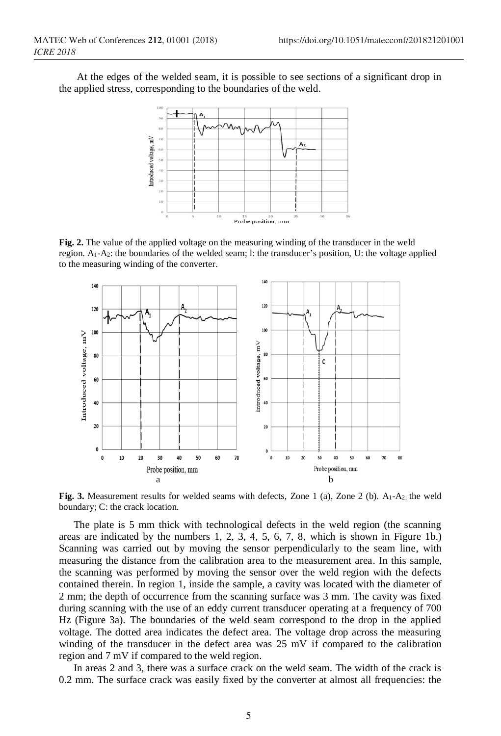At the edges of the welded seam, it is possible to see sections of a significant drop in the applied stress, corresponding to the boundaries of the weld.



**Fig. 2.** The value of the applied voltage on the measuring winding of the transducer in the weld region. A1-A2: the boundaries of the welded seam; l: the transducer's position, U: the voltage applied to the measuring winding of the converter.



Fig. 3. Measurement results for welded seams with defects, Zone 1 (a), Zone 2 (b). A<sub>1</sub>-A<sub>2</sub>: the weld boundary; C: the crack location.

The plate is 5 mm thick with technological defects in the weld region (the scanning areas are indicated by the numbers 1, 2, 3, 4, 5, 6, 7, 8, which is shown in Figure 1b.) Scanning was carried out by moving the sensor perpendicularly to the seam line, with measuring the distance from the calibration area to the measurement area. In this sample, the scanning was performed by moving the sensor over the weld region with the defects contained therein. In region 1, inside the sample, a cavity was located with the diameter of 2 mm; the depth of occurrence from the scanning surface was 3 mm. The cavity was fixed during scanning with the use of an eddy current transducer operating at a frequency of 700 Hz (Figure 3a). The boundaries of the weld seam correspond to the drop in the applied voltage. The dotted area indicates the defect area. The voltage drop across the measuring winding of the transducer in the defect area was 25 mV if compared to the calibration region and 7 mV if compared to the weld region.

In areas 2 and 3, there was a surface crack on the weld seam. The width of the crack is 0.2 mm. The surface crack was easily fixed by the converter at almost all frequencies: the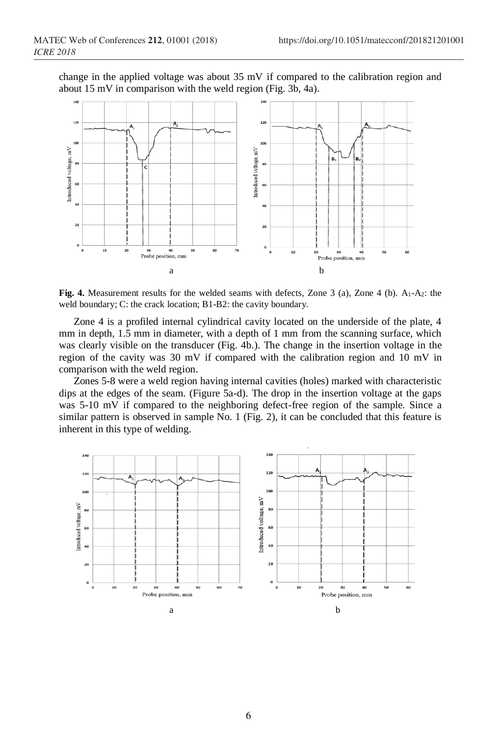change in the applied voltage was about 35 mV if compared to the calibration region and about 15 mV in comparison with the weld region (Fig. 3b, 4a).



**Fig. 4.** Measurement results for the welded seams with defects, Zone 3 (a), Zone 4 (b). A<sub>1</sub>-A<sub>2</sub>: the weld boundary; C: the crack location; B1-B2: the cavity boundary.

Zone 4 is a profiled internal cylindrical cavity located on the underside of the plate, 4 mm in depth, 1.5 mm in diameter, with a depth of 1 mm from the scanning surface, which was clearly visible on the transducer (Fig. 4b.). The change in the insertion voltage in the region of the cavity was 30 mV if compared with the calibration region and 10 mV in comparison with the weld region.

Zones 5-8 were a weld region having internal cavities (holes) marked with characteristic dips at the edges of the seam. (Figure 5a-d). The drop in the insertion voltage at the gaps was 5-10 mV if compared to the neighboring defect-free region of the sample. Since a similar pattern is observed in sample No. 1 (Fig. 2), it can be concluded that this feature is inherent in this type of welding.

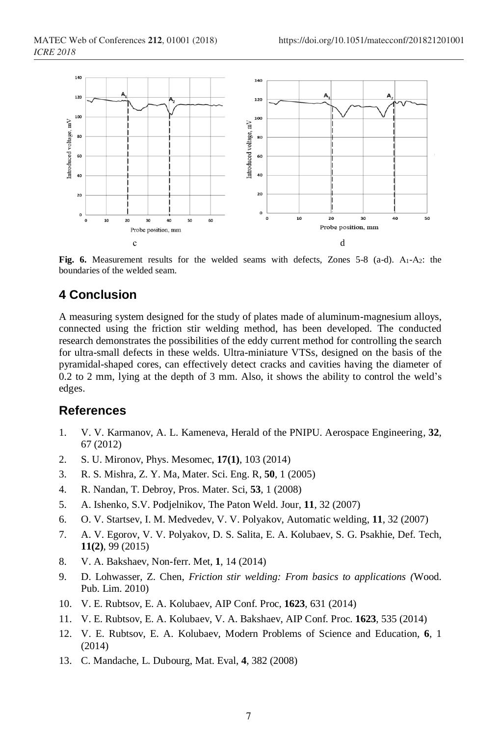

Fig. 6. Measurement results for the welded seams with defects, Zones 5-8 (a-d). A<sub>1</sub>-A<sub>2</sub>: the boundaries of the welded seam.

## **4 Conclusion**

A measuring system designed for the study of plates made of aluminum-magnesium alloys, connected using the friction stir welding method, has been developed. The conducted research demonstrates the possibilities of the eddy current method for controlling the search for ultra-small defects in these welds. Ultra-miniature VTSs, designed on the basis of the pyramidal-shaped cores, can effectively detect cracks and cavities having the diameter of 0.2 to 2 mm, lying at the depth of 3 mm. Also, it shows the ability to control the weld's edges.

#### **References**

- 1. V. V. Karmanov, A. L. Kameneva, Herald of the PNIPU. Aerospace Engineering, **32**, 67 (2012)
- 2. S. U. Mironov, Phys. Mesomec, **17(1)**, 103 (2014)
- 3. R. S. Mishra, Z. Y. Ma, Mater. Sci. Eng. R, **50**, 1 (2005)
- 4. R. Nandan, T. Debroy, Pros. Mater. Sci, **53**, 1 (2008)
- 5. A. Ishenko, S.V. Podjelnikov, The Paton Weld. Jour, **11**, 32 (2007)
- 6. O. V. Startsev, I. M. Medvedev, V. V. Polyakov, Automatic welding, **11**, 32 (2007)
- 7. A. V. Egorov, V. V. Polyakov, D. S. Salita, E. A. Kolubaev, S. G. Psakhie, Def. Tech, **11(2)**, 99 (2015)
- 8. V. A. Bakshaev, Non-ferr. Met, **1**, 14 (2014)
- 9. D. Lohwasser, Z. Chen, *Friction stir welding: From basics to applications (*Wood. Pub. Lim. 2010)
- 10. V. E. Rubtsov, E. A. Kolubaev, AIP Conf. Proc, **1623**, 631 (2014)
- 11. V. E. Rubtsov, E. A. Kolubaev, V. A. Bakshaev, AIP Conf. Proc. **1623**, 535 (2014)
- 12. V. E. Rubtsov, E. A. Kolubaev, Modern Problems of Science and Education, **6**, 1 (2014)
- 13. C. Mandache, L. Dubourg, Mat. Eval, **4**, 382 (2008)